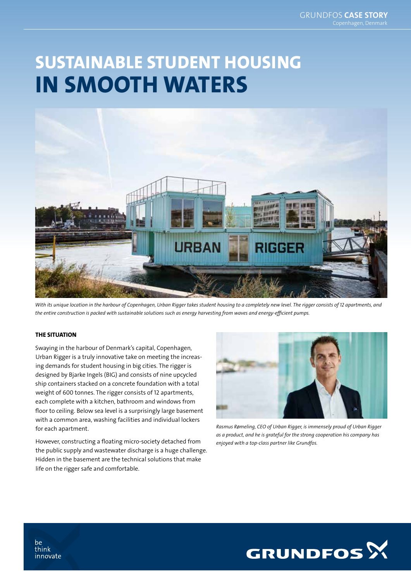# SUSTAINABLE STUDENT HOUSING IN SMOOTH WATERS



*With its unique location in the harbour of Copenhagen, Urban Rigger takes student housing to a completely new level. The rigger consists of 12 apartments, and the entire construction is packed with sustainable solutions such as energy harvesting from waves and energy-efficient pumps.*

#### THE SITUATION

Swaying in the harbour of Denmark's capital, Copenhagen, Urban Rigger is a truly innovative take on meeting the increasing demands for student housing in big cities. The rigger is designed by Bjarke Ingels (BIG) and consists of nine upcycled ship containers stacked on a concrete foundation with a total weight of 600 tonnes. The rigger consists of 12 apartments, each complete with a kitchen, bathroom and windows from floor to ceiling. Below sea level is a surprisingly large basement with a common area, washing facilities and individual lockers for each apartment.

However, constructing a floating micro-society detached from the public supply and wastewater discharge is a huge challenge. Hidden in the basement are the technical solutions that make life on the rigger safe and comfortable.



*Rasmus Rømeling, CEO of Urban Rigger, is immensely proud of Urban Rigger as a product, and he is grateful for the strong cooperation his company has enjoyed with a top-class partner like Grundfos.*



be think innovate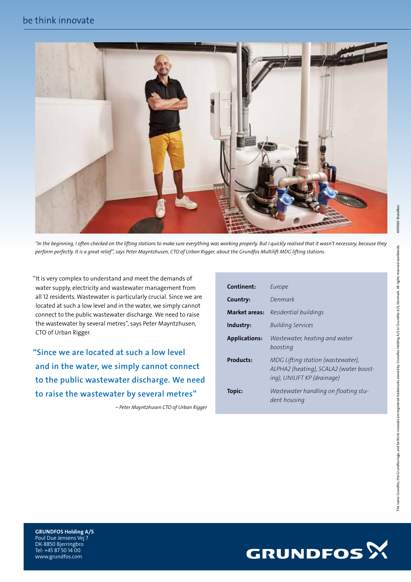

*"In the beginning, I often checked on the lifting stations to make sure everything was working properly. But I quickly realised that it wasn't necessary, because they perform perfectly. It is a great relief", says Peter Mayntzhusen, CTO of Urban Rigger, about the Grundfos Multilift MDG lifting stations.*

"It is very complex to understand and meet the demands of water supply, electricity and wastewater management from all 12 residents. Wastewater is particularly crucial. Since we are located at such a low level and in the water, we simply cannot connect to the public wastewater discharge. We need to raise the wastewater by several metres", says Peter Mayntzhusen, CTO of Urban Rigger.

"Since we are located at such a low level and in the water, we simply cannot connect to the public wastewater discharge. We need to raise the wastewater by several metres"

*– Peter Mayntzhusen CTO of Urban Rigger*

| Continent:           | Europe                                                                                                     |
|----------------------|------------------------------------------------------------------------------------------------------------|
| Country:             | Denmark                                                                                                    |
| <b>Market areas:</b> | Residential buildings                                                                                      |
| Industry:            | <b>Building Services</b>                                                                                   |
| <b>Applications:</b> | Wastewater, heating and water<br>boosting                                                                  |
| Products:            | MDG Lifting station (wastewater),<br>ALPHA2 (heating), SCALA2 (water boost-<br>ing), UNILIFT KP (drainage) |
| <b>Topic:</b>        | Wastewater handling on floating stu-<br>dent housing                                                       |



GRUNDFOS Holding A/S Poul Due Jensens Vej 7 DK-8850 Bjerringbro Tel: +45 87 50 14 00 www.grundfos.com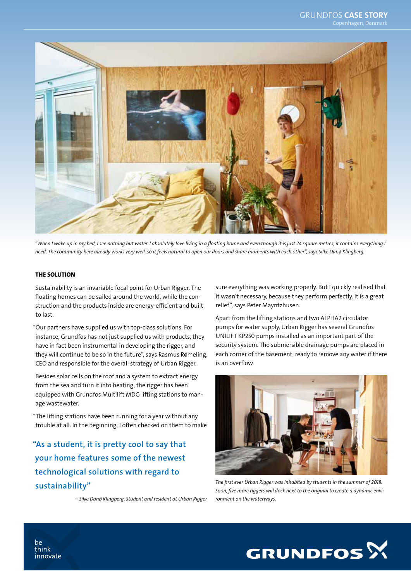

*"When I wake up in my bed, I see nothing but water. I absolutely love living in a floating home and even though it is just 24 square metres, it contains everything I need. The community here already works very well, so it feels natural to open our doors and share moments with each other", says Silke Danø Klingberg.* 

#### THE SOLUTION

Sustainability is an invariable focal point for Urban Rigger. The floating homes can be sailed around the world, while the construction and the products inside are energy-efficient and built to last.

"Our partners have supplied us with top-class solutions. For instance, Grundfos has not just supplied us with products, they have in fact been instrumental in developing the rigger, and they will continue to be so in the future", says Rasmus Rømeling, CEO and responsible for the overall strategy of Urban Rigger.

Besides solar cells on the roof and a system to extract energy from the sea and turn it into heating, the rigger has been equipped with Grundfos Multilift MDG lifting stations to manage wastewater.

"The lifting stations have been running for a year without any trouble at all. In the beginning, I often checked on them to make

"As a student, it is pretty cool to say that your home features some of the newest technological solutions with regard to sustainability"

*– Silke Danø Klingberg, Student and resident at Urban Rigger*

sure everything was working properly. But I quickly realised that it wasn't necessary, because they perform perfectly. It is a great relief", says Peter Mayntzhusen.

Apart from the lifting stations and two ALPHA2 circulator pumps for water supply, Urban Rigger has several Grundfos UNILIFT KP250 pumps installed as an important part of the security system. The submersible drainage pumps are placed in each corner of the basement, ready to remove any water if there is an overflow.



*The first ever Urban Rigger was inhabited by students in the summer of 2018. Soon, five more riggers will dock next to the original to create a dynamic environment on the waterways.*



be think innovate